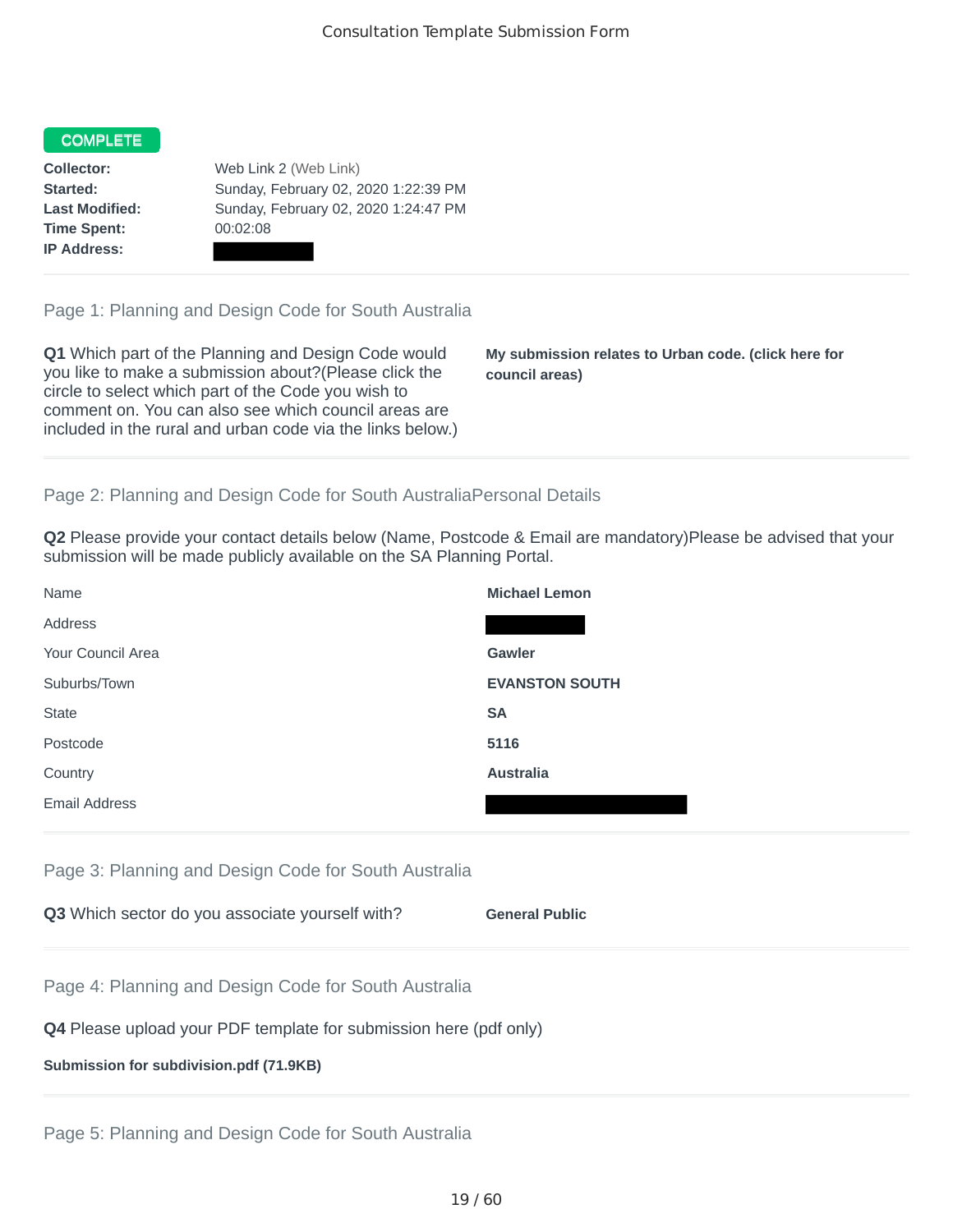## COMPLETE

**Time Spent:** 00:02:08 **IP Address:**

**Collector:** Web Link 2 (Web Link) **Started:** Sunday, February 02, 2020 1:22:39 PM **Last Modified:** Sunday, February 02, 2020 1:24:47 PM

Page 1: Planning and Design Code for South Australia

**Q1** Which part of the Planning and Design Code would you like to make a submission about?(Please click the circle to select which part of the Code you wish to comment on. You can also see which council areas are included in the rural and urban code via the links below.)

**My submission relates to Urban code. (click here for council areas)**

## Page 2: Planning and Design Code for South AustraliaPersonal Details

**Q2** Please provide your contact details below (Name, Postcode & Email are mandatory)Please be advised that your submission will be made publicly available on the SA Planning Portal.

| Name                 | <b>Michael Lemon</b>  |
|----------------------|-----------------------|
| Address              |                       |
| Your Council Area    | Gawler                |
| Suburbs/Town         | <b>EVANSTON SOUTH</b> |
| <b>State</b>         | <b>SA</b>             |
| Postcode             | 5116                  |
| Country              | <b>Australia</b>      |
| <b>Email Address</b> |                       |

Page 3: Planning and Design Code for South Australia

|  | Q3 Which sector do you associate yourself with? |  |  | <b>General Public</b> |
|--|-------------------------------------------------|--|--|-----------------------|
|--|-------------------------------------------------|--|--|-----------------------|

Page 4: Planning and Design Code for South Australia

## **Q4** Please upload your PDF template for submission here (pdf only)

#### **Submission for subdivision.pdf (71.9KB)**

Page 5: Planning and Design Code for South Australia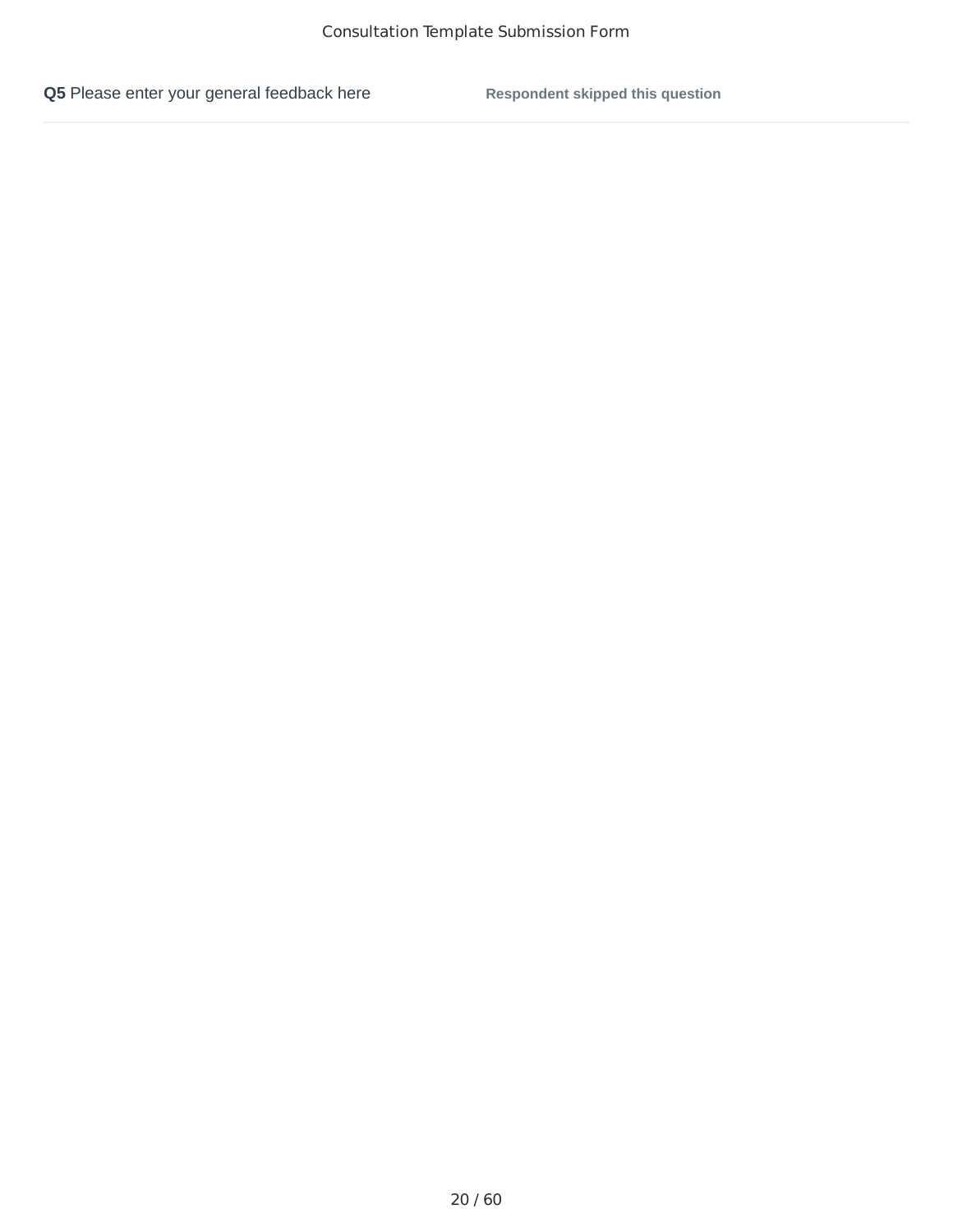**Q5** Please enter your general feedback here **Respondent skipped this question**